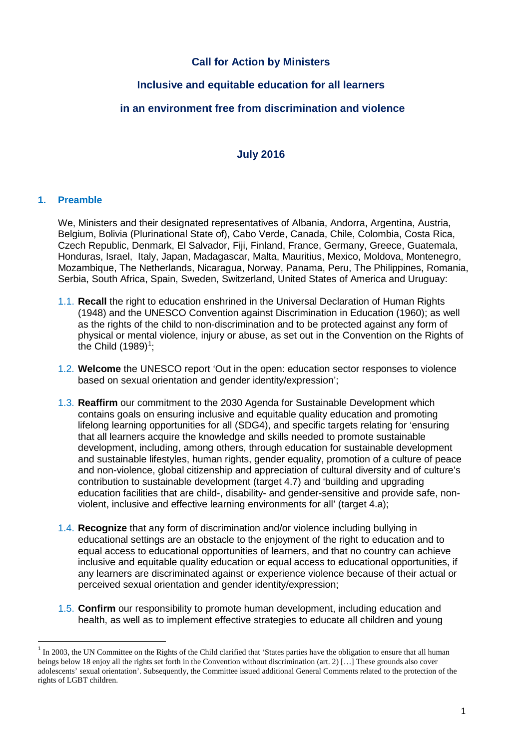# **Call for Action by Ministers**

## **Inclusive and equitable education for all learners**

# **in an environment free from discrimination and violence**

## **July 2016**

### **1. Preamble**

We, Ministers and their designated representatives of Albania, Andorra, Argentina, Austria, Belgium, Bolivia (Plurinational State of), Cabo Verde, Canada, Chile, Colombia, Costa Rica, Czech Republic, Denmark, El Salvador, Fiji, Finland, France, Germany, Greece, Guatemala, Honduras, Israel, Italy, Japan, Madagascar, Malta, Mauritius, Mexico, Moldova, Montenegro, Mozambique, The Netherlands, Nicaragua, Norway, Panama, Peru, The Philippines, Romania, Serbia, South Africa, Spain, Sweden, Switzerland, United States of America and Uruguay:

- 1.1. **Recall** the right to education enshrined in the Universal Declaration of Human Rights (1948) and the UNESCO Convention against Discrimination in Education (1960); as well as the rights of the child to non-discrimination and to be protected against any form of physical or mental violence, injury or abuse, as set out in the Convention on the Rights of the Child  $(1989)^1$  $(1989)^1$  $(1989)^1$ ;
- 1.2. **Welcome** the UNESCO report 'Out in the open: education sector responses to violence based on sexual orientation and gender identity/expression';
- 1.3. **Reaffirm** our commitment to the 2030 Agenda for Sustainable Development which contains goals on ensuring inclusive and equitable quality education and promoting lifelong learning opportunities for all (SDG4), and specific targets relating for 'ensuring that all learners acquire the knowledge and skills needed to promote sustainable development, including, among others, through education for sustainable development and sustainable lifestyles, human rights, gender equality, promotion of a culture of peace and non-violence, global citizenship and appreciation of cultural diversity and of culture's contribution to sustainable development (target 4.7) and 'building and upgrading education facilities that are child-, disability- and gender-sensitive and provide safe, nonviolent, inclusive and effective learning environments for all' (target 4.a);
- 1.4. **Recognize** that any form of discrimination and/or violence including bullying in educational settings are an obstacle to the enjoyment of the right to education and to equal access to educational opportunities of learners, and that no country can achieve inclusive and equitable quality education or equal access to educational opportunities, if any learners are discriminated against or experience violence because of their actual or perceived sexual orientation and gender identity/expression;
- 1.5. **Confirm** our responsibility to promote human development, including education and health, as well as to implement effective strategies to educate all children and young

<span id="page-0-0"></span><sup>&</sup>lt;sup>1</sup> In 2003, the UN Committee on the Rights of the Child clarified that 'States parties have the obligation to ensure that all human beings below 18 enjoy all the rights set forth in the Convention without discrimination (art. 2) […] These grounds also cover adolescents' sexual orientation'. Subsequently, the Committee issued additional General Comments related to the protection of the rights of LGBT children.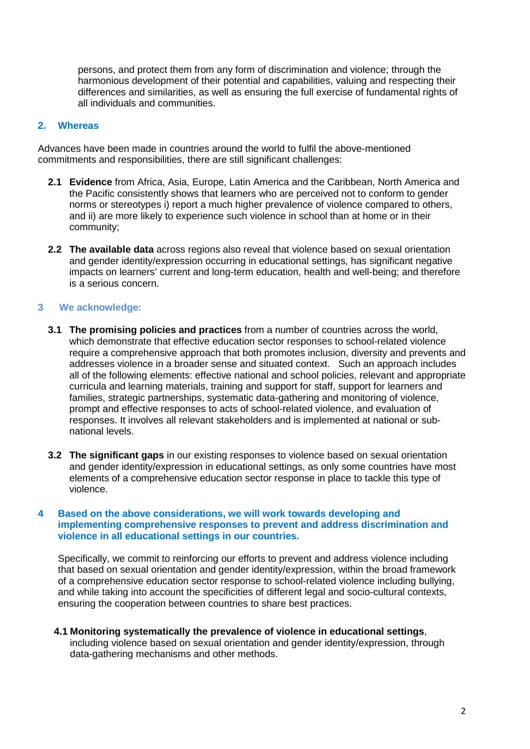persons, and protect them from any form of discrimination and violence; through the harmonious development of their potential and capabilities, valuing and respecting their differences and similarities, as well as ensuring the full exercise of fundamental rights of all individuals and communities.

### **2. Whereas**

Advances have been made in countries around the world to fulfil the above-mentioned commitments and responsibilities, there are still significant challenges:

- **2.1 Evidence** from Africa, Asia, Europe, Latin America and the Caribbean, North America and the Pacific consistently shows that learners who are perceived not to conform to gender norms or stereotypes i) report a much higher prevalence of violence compared to others, and ii) are more likely to experience such violence in school than at home or in their community;
- **2.2 The available data** across regions also reveal that violence based on sexual orientation and gender identity/expression occurring in educational settings, has significant negative impacts on learners' current and long-term education, health and well-being; and therefore is a serious concern.

### **3 We acknowledge:**

- **3.1 The promising policies and practices** from a number of countries across the world, which demonstrate that effective education sector responses to school-related violence require a comprehensive approach that both promotes inclusion, diversity and prevents and addresses violence in a broader sense and situated context. Such an approach includes all of the following elements: effective national and school policies, relevant and appropriate curricula and learning materials, training and support for staff, support for learners and families, strategic partnerships, systematic data-gathering and monitoring of violence, prompt and effective responses to acts of school-related violence, and evaluation of responses. It involves all relevant stakeholders and is implemented at national or subnational levels.
- **3.2 The significant gaps** in our existing responses to violence based on sexual orientation and gender identity/expression in educational settings, as only some countries have most elements of a comprehensive education sector response in place to tackle this type of violence.

#### **4 Based on the above considerations, we will work towards developing and implementing comprehensive responses to prevent and address discrimination and violence in all educational settings in our countries.**

Specifically, we commit to reinforcing our efforts to prevent and address violence including that based on sexual orientation and gender identity/expression, within the broad framework of a comprehensive education sector response to school-related violence including bullying, and while taking into account the specificities of different legal and socio-cultural contexts, ensuring the cooperation between countries to share best practices.

**4.1 Monitoring systematically the prevalence of violence in educational settings**, including violence based on sexual orientation and gender identity/expression, through data-gathering mechanisms and other methods.